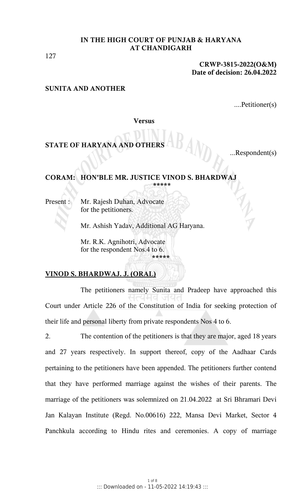127

### **CRWP-3815-2022(O&M) Date of decision: 26.04.2022**

## **SUNITA AND ANOTHER**

....Petitioner(s)

**Versus**

# **STATE OF HARYANA AND OTHERS**

...Respondent(s)

#### **CORAM: HON'BLE MR. JUSTICE VINOD S. BHARDWAJ \*\*\*\*\***

Present : Mr. Rajesh Duhan, Advocate for the petitioners.

Mr. Ashish Yadav, Additional AG Haryana.

Mr. R.K. Agnihotri, Advocate for the respondent Nos.4 to 6. **\*\*\*\*\***

# **VINOD S. BHARDWAJ. J. (ORAL)**

The petitioners namely Sunita and Pradeep have approached this Court under Article 226 of the Constitution of India for seeking protection of their life and personal liberty from private respondents Nos 4 to 6.

2. The contention of the petitioners is that they are major, aged 18 years and 27 years respectively. In support thereof, copy of the Aadhaar Cards pertaining to the petitioners have been appended. The petitioners further contend that they have performed marriage against the wishes of their parents. The marriage of the petitioners was solemnized on 21.04.2022 at Sri Bhramari Devi Jan Kalayan Institute (Regd. No.00616) 222, Mansa Devi Market, Sector 4 Panchkula according to Hindu rites and ceremonies. A copy of marriage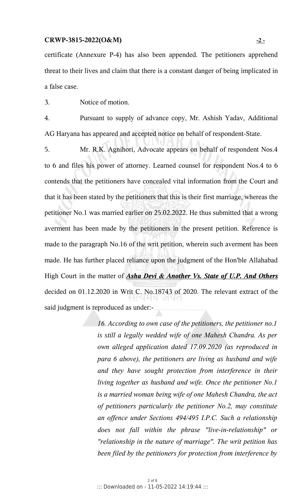### **CRWP-3815-2022(O&M) - 2 -**

certificate (Annexure P-4) has also been appended. The petitioners apprehend threat to their lives and claim that there is a constant danger of being implicated in a false case.

3. Notice of motion.

4. Pursuant to supply of advance copy, Mr. Ashish Yadav, Additional AG Haryana has appeared and accepted notice on behalf of respondent-State.

5. Mr. R.K. Agnihori, Advocate appears on behalf of respondent Nos.4 to 6 and files his power of attorney. Learned counsel for respondent Nos.4 to 6 contends that the petitioners have concealed vital information from the Court and that it has been stated by the petitioners that this is their first marriage, whereas the petitioner No.1 was married earlier on 25.02.2022. He thus submitted that a wrong averment has been made by the petitioners in the present petition. Reference is made to the paragraph No.16 of the writ petition, wherein such averment has been made. He has further placed reliance upon the judgment of the Hon'ble Allahabad High Court in the matter of *Asha Devi & Another Vs. State of U.P. And Others* decided on 01.12.2020 in Writ C. No.18743 of 2020. The relevant extract of the said judgment is reproduced as under:-

> *16. According to own case of the petitioners, the petitioner no.1 is still a legally wedded wife of one Mahesh Chandra. As per own alleged application dated 17.09.2020 (as reproduced in para 6 above), the petitioners are living as husband and wife and they have sought protection from interference in their living together as husband and wife. Once the petitioner No.1 is a married woman being wife of one Mahesh Chandra, the act of petitioners particularly the petitioner No.2, may constitute an offence under Sections 494/495 I.P.C. Such a relationship does not fall within the phrase "live-in-relationship" or "relationship in the nature of marriage". The writ petition has been filed by the petitioners for protection from interference by*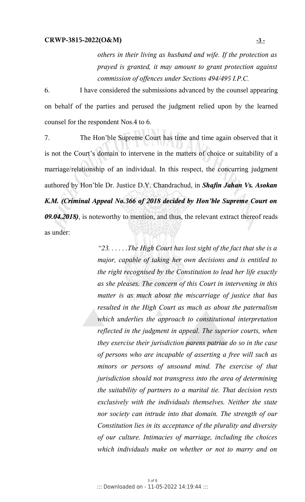*others in their living as husband and wife. If the protection as prayed is granted, it may amount to grant protection against commission of offences under Sections 494/495 I.P.C.* 

6. I have considered the submissions advanced by the counsel appearing on behalf of the parties and perused the judgment relied upon by the learned counsel for the respondent Nos.4 to 6.

7. The Hon'ble Supreme Court has time and time again observed that it is not the Court's domain to intervene in the matters of choice or suitability of a marriage/relationship of an individual. In this respect, the concurring judgment authored by Hon'ble Dr. Justice D.Y. Chandrachud, in *Shafin Jahan Vs. Asokan K.M. (Criminal Appeal No.366 of 2018 decided by Hon'ble Supreme Court on 09.04.2018)*, is noteworthy to mention, and thus, the relevant extract thereof reads as under:

> *"23. . . . . .The High Court has lost sight of the fact that she is a major, capable of taking her own decisions and is entitled to the right recognised by the Constitution to lead her life exactly as she pleases. The concern of this Court in intervening in this matter is as much about the miscarriage of justice that has resulted in the High Court as much as about the paternalism which underlies the approach to constitutional interpretation reflected in the judgment in appeal. The superior courts, when they exercise their jurisdiction parens patriae do so in the case of persons who are incapable of asserting a free will such as minors or persons of unsound mind. The exercise of that jurisdiction should not transgress into the area of determining the suitability of partners to a marital tie. That decision rests exclusively with the individuals themselves. Neither the state nor society can intrude into that domain. The strength of our Constitution lies in its acceptance of the plurality and diversity of our culture. Intimacies of marriage, including the choices which individuals make on whether or not to marry and on*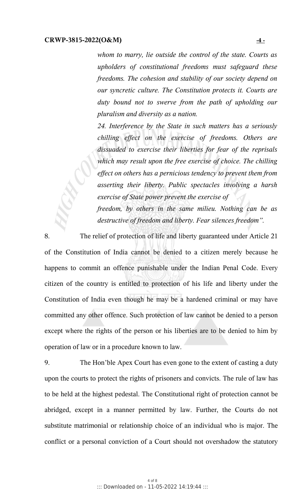*whom to marry, lie outside the control of the state. Courts as upholders of constitutional freedoms must safeguard these freedoms. The cohesion and stability of our society depend on our syncretic culture. The Constitution protects it. Courts are duty bound not to swerve from the path of upholding our pluralism and diversity as a nation.*

*24. Interference by the State in such matters has a seriously chilling effect on the exercise of freedoms. Others are dissuaded to exercise their liberties for fear of the reprisals which may result upon the free exercise of choice. The chilling effect on others has a pernicious tendency to prevent them from asserting their liberty. Public spectacles involving a harsh exercise of State power prevent the exercise of freedom, by others in the same milieu. Nothing can be as*

*destructive of freedom and liberty. Fear silences freedom".*

8. The relief of protection of life and liberty guaranteed under Article 21 of the Constitution of India cannot be denied to a citizen merely because he happens to commit an offence punishable under the Indian Penal Code. Every citizen of the country is entitled to protection of his life and liberty under the Constitution of India even though he may be a hardened criminal or may have committed any other offence. Such protection of law cannot be denied to a person except where the rights of the person or his liberties are to be denied to him by operation of law or in a procedure known to law.

9. The Hon'ble Apex Court has even gone to the extent of casting a duty upon the courts to protect the rights of prisoners and convicts. The rule of law has to be held at the highest pedestal. The Constitutional right of protection cannot be abridged, except in a manner permitted by law. Further, the Courts do not substitute matrimonial or relationship choice of an individual who is major. The conflict or a personal conviction of a Court should not overshadow the statutory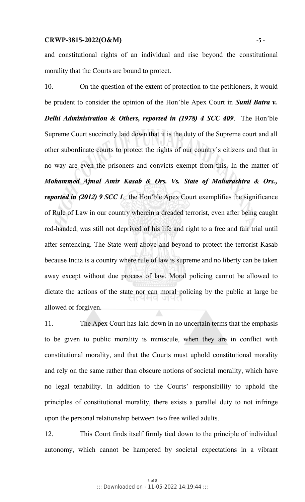and constitutional rights of an individual and rise beyond the constitutional morality that the Courts are bound to protect.

10. On the question of the extent of protection to the petitioners, it would be prudent to consider the opinion of the Hon'ble Apex Court in *Sunil Batra v. Delhi Administration & Others, reported in (1978) 4 SCC 409*. The Hon'ble Supreme Court succinctly laid down that it is the duty of the Supreme court and all other subordinate courts to protect the rights of our country's citizens and that in no way are even the prisoners and convicts exempt from this. In the matter of *Mohammed Ajmal Amir Kasab & Ors. Vs. State of Maharashtra & Ors., reported in (2012) 9 SCC 1*, the Hon'ble Apex Court exemplifies the significance of Rule of Law in our country wherein a dreaded terrorist, even after being caught red-handed, was still not deprived of his life and right to a free and fair trial until after sentencing. The State went above and beyond to protect the terrorist Kasab because India is a country where rule of law is supreme and no liberty can be taken away except without due process of law. Moral policing cannot be allowed to dictate the actions of the state nor can moral policing by the public at large be allowed or forgiven.

11. The Apex Court has laid down in no uncertain terms that the emphasis to be given to public morality is miniscule, when they are in conflict with constitutional morality, and that the Courts must uphold constitutional morality and rely on the same rather than obscure notions of societal morality, which have no legal tenability. In addition to the Courts' responsibility to uphold the principles of constitutional morality, there exists a parallel duty to not infringe upon the personal relationship between two free willed adults.

12. This Court finds itself firmly tied down to the principle of individual autonomy, which cannot be hampered by societal expectations in a vibrant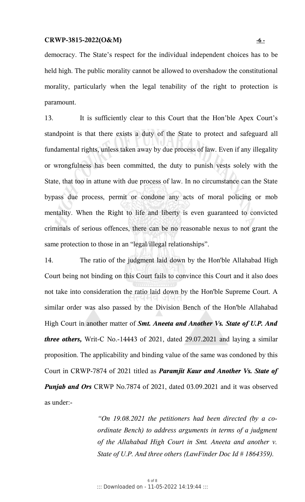### **CRWP-3815-2022(O&M) - 6 -**

democracy. The State's respect for the individual independent choices has to be held high. The public morality cannot be allowed to overshadow the constitutional morality, particularly when the legal tenability of the right to protection is paramount.

13. It is sufficiently clear to this Court that the Hon'ble Apex Court's standpoint is that there exists a duty of the State to protect and safeguard all fundamental rights, unless taken away by due process of law. Even if any illegality or wrongfulness has been committed, the duty to punish vests solely with the State, that too in attune with due process of law. In no circumstance can the State bypass due process, permit or condone any acts of moral policing or mob mentality. When the Right to life and liberty is even guaranteed to convicted criminals of serious offences, there can be no reasonable nexus to not grant the same protection to those in an "legal/illegal relationships".

14. The ratio of the judgment laid down by the Hon'ble Allahabad High Court being not binding on this Court fails to convince this Court and it also does not take into consideration the ratio laid down by the Hon'ble Supreme Court. A similar order was also passed by the Division Bench of the Hon'ble Allahabad High Court in another matter of *Smt. Aneeta and Another Vs. State of U.P. And three others,* Writ-C No.-14443 of 2021, dated 29.07.2021 and laying a similar proposition. The applicability and binding value of the same was condoned by this Court in CRWP-7874 of 2021 titled as *Paramjit Kaur and Another Vs. State of Punjab and Ors* CRWP No.7874 of 2021, dated 03.09.2021 and it was observed as under:-

> *"On 19.08.2021 the petitioners had been directed (by a coordinate Bench) to address arguments in terms of a judgment of the Allahabad High Court in Smt. Aneeta and another v. State of U.P. And three others (LawFinder Doc Id # 1864359).*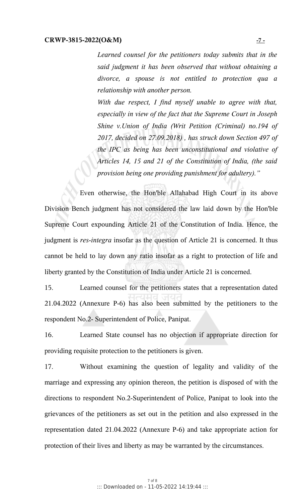*Learned counsel for the petitioners today submits that in the said judgment it has been observed that without obtaining a divorce, a spouse is not entitled to protection qua a relationship with another person.*

*With due respect, I find myself unable to agree with that, especially in view of the fact that the Supreme Court in Joseph Shine v.Union of India (Writ Petition (Criminal) no.194 of 2017, decided on 27.09.2018) , has struck down Section 497 of the IPC as being has been unconstitutional and violative of Articles 14, 15 and 21 of the Constitution of India, (the said provision being one providing punishment for adultery)."*

Even otherwise, the Hon'ble Allahabad High Court in its above Division Bench judgment has not considered the law laid down by the Hon'ble Supreme Court expounding Article 21 of the Constitution of India. Hence, the judgment is *res-integra* insofar as the question of Article 21 is concerned. It thus cannot be held to lay down any ratio insofar as a right to protection of life and liberty granted by the Constitution of India under Article 21 is concerned.

15. Learned counsel for the petitioners states that a representation dated 21.04.2022 (Annexure P-6) has also been submitted by the petitioners to the respondent No.2- Superintendent of Police, Panipat.

16. Learned State counsel has no objection if appropriate direction for providing requisite protection to the petitioners is given.

17. Without examining the question of legality and validity of the marriage and expressing any opinion thereon, the petition is disposed of with the directions to respondent No.2-Superintendent of Police, Panipat to look into the grievances of the petitioners as set out in the petition and also expressed in the representation dated 21.04.2022 (Annexure P-6) and take appropriate action for protection of their lives and liberty as may be warranted by the circumstances.